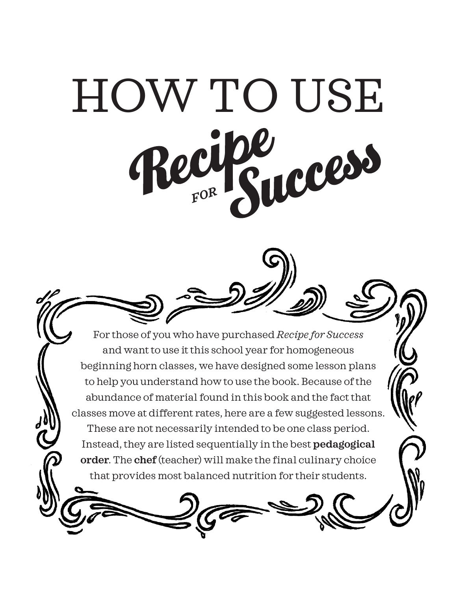

For those of you who have purchased *Recipe for Success*  and want to use it this school year for homogeneous beginning horn classes, we have designed some lesson plans to help you understand how to use the book. Because of the abundance of material found in this book and the fact that classes move at different rates, here are a few suggested lessons. These are not necessarily intended to be one class period. Instead, they are listed sequentially in the best **pedagogical order**. The **chef** (teacher) will make the final culinary choice that provides most balanced nutrition for their students.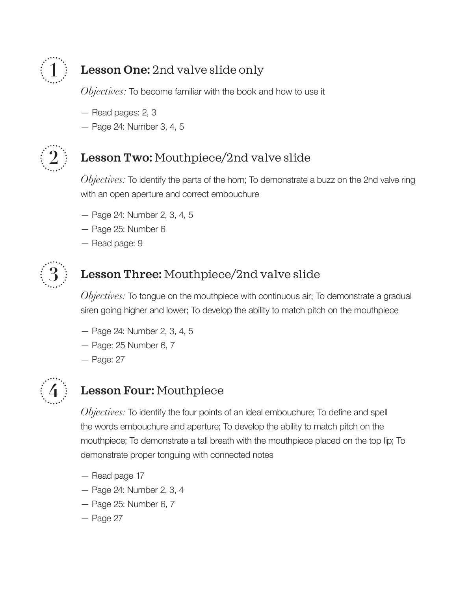

## **1 Lesson One:** 2nd valve slide only

*Objectives:* To become familiar with the book and how to use it

- Read pages: 2, 3
- Page 24: Number 3, 4, 5



## **2 Lesson Two:** Mouthpiece/2nd valve slide

*Objectives:* To identify the parts of the horn; To demonstrate a buzz on the 2nd valve ring with an open aperture and correct embouchure

- Page 24: Number 2, 3, 4, 5
- Page 25: Number 6
- Read page: 9



## **3 Lesson Three:** Mouthpiece/2nd valve slide

*Objectives:* To tongue on the mouthpiece with continuous air; To demonstrate a gradual siren going higher and lower; To develop the ability to match pitch on the mouthpiece

- Page 24: Number 2, 3, 4, 5
- Page: 25 Number 6, 7
- Page: 27



## **4 Lesson Four:** Mouthpiece

*Objectives:* To identify the four points of an ideal embouchure; To define and spell the words embouchure and aperture; To develop the ability to match pitch on the mouthpiece; To demonstrate a tall breath with the mouthpiece placed on the top lip; To demonstrate proper tonguing with connected notes

- Read page 17
- Page 24: Number 2, 3, 4
- Page 25: Number 6, 7
- Page 27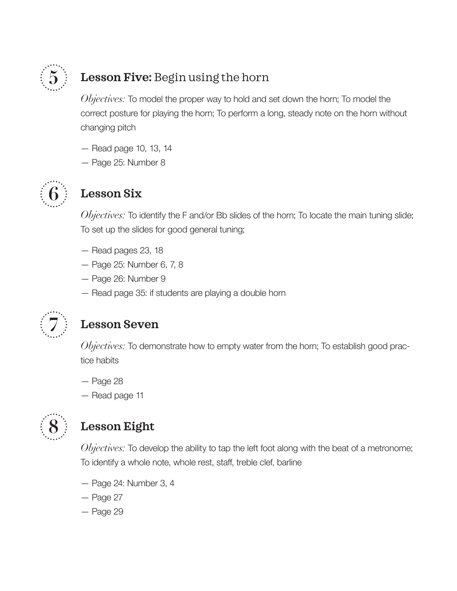

## **5 Lesson Five:** Begin using the horn

*Objectives:* To model the proper way to hold and set down the horn; To model the correct posture for playing the horn; To perform a long, steady note on the horn without changing pitch

- Read page 10, 13, 14
- Page 25: Number 8



# **6 Lesson Six**

*Objectives:* To identify the F and/or Bb slides of the horn; To locate the main tuning slide; To set up the slides for good general tuning;

- Read pages 23, 18
- Page 25: Number 6, 7, 8
- Page 26: Number 9
- Read page 35: if students are playing a double horn



#### **7 Lesson Seven**

*Objectives*: To demonstrate how to empty water from the horn; To establish good practice habits

- Page 28
- Read page 11



## **8 Lesson Eight**

*Objectives:* To develop the ability to tap the left foot along with the beat of a metronome; To identify a whole note, whole rest, staff, treble clef, barline

- Page 24: Number 3, 4
- Page 27
- Page 29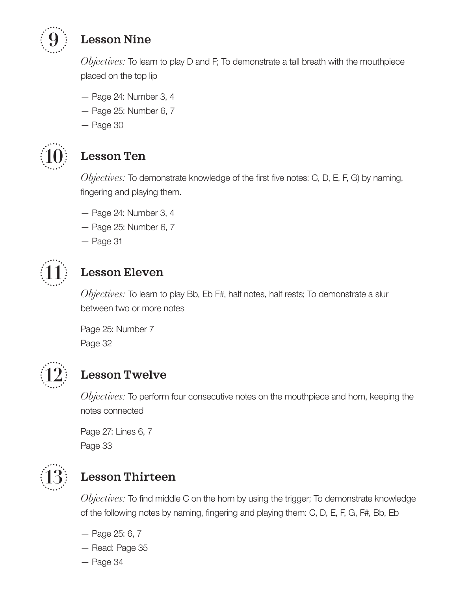

## **9 Lesson Nine**

*Objectives*: To learn to play D and F; To demonstrate a tall breath with the mouthpiece placed on the top lip

- Page 24: Number 3, 4
- Page 25: Number 6, 7
- Page 30



# **10 Lesson Ten**

*Objectives:* To demonstrate knowledge of the first five notes: C, D, E, F, G) by naming, fingering and playing them.

- Page 24: Number 3, 4
- Page 25: Number 6, 7
- Page 31



### **11 Lesson Eleven**

*Objectives:* To learn to play Bb, Eb F#, half notes, half rests; To demonstrate a slur between two or more notes

Page 25: Number 7 Page 32



### **12 Lesson Twelve**

*Objectives:* To perform four consecutive notes on the mouthpiece and horn, keeping the notes connected

Page 27: Lines 6, 7 Page 33



## **13 Lesson Thirteen**

*Objectives:* To find middle C on the horn by using the trigger; To demonstrate knowledge of the following notes by naming, fingering and playing them: C, D, E, F, G, F#, Bb, Eb

- Page 25: 6, 7
- Read: Page 35
- Page 34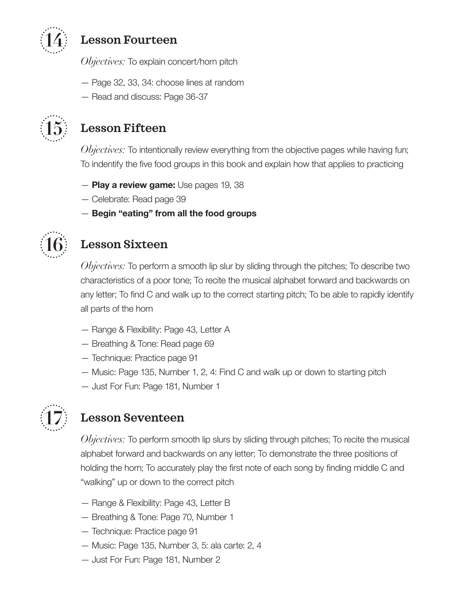

## **14 Lesson Fourteen**

*Objectives:* To explain concert/horn pitch

- Page 32, 33, 34: choose lines at random
- Read and discuss: Page 36-37



### **15 Lesson Fifteen**

*Objectives:* To intentionally review everything from the objective pages while having fun; To indentify the five food groups in this book and explain how that applies to practicing

- **Play a review game:** Use pages 19, 38
- Celebrate: Read page 39
- **Begin "eating" from all the food groups**



### **16 Lesson Sixteen**

*Objectives:* To perform a smooth lip slur by sliding through the pitches; To describe two characteristics of a poor tone; To recite the musical alphabet forward and backwards on any letter; To find C and walk up to the correct starting pitch; To be able to rapidly identify all parts of the horn

- Range & Flexibility: Page 43, Letter A
- Breathing & Tone: Read page 69
- Technique: Practice page 91
- Music: Page 135, Number 1, 2, 4: Find C and walk up or down to starting pitch
- Just For Fun: Page 181, Number 1



### **17 Lesson Seventeen**

*Objectives:* To perform smooth lip slurs by sliding through pitches; To recite the musical alphabet forward and backwards on any letter; To demonstrate the three positions of holding the horn; To accurately play the first note of each song by finding middle C and "walking" up or down to the correct pitch

- Range & Flexibility: Page 43, Letter B
- Breathing & Tone: Page 70, Number 1
- Technique: Practice page 91
- Music: Page 135, Number 3, 5: ala carte: 2, 4
- Just For Fun: Page 181, Number 2